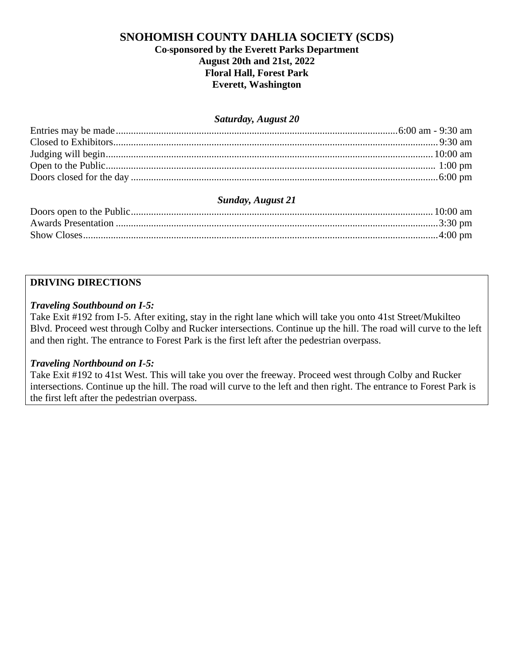# **SNOHOMISH COUNTY DAHLIA SOCIETY (SCDS)**

## **Co-sponsored by the Everett Parks Department August 20th and 21st, 2022 Floral Hall, Forest Park Everett, Washington**

#### *Saturday, August 20*

# *Sunday, August 21*

#### **DRIVING DIRECTIONS**

#### *Traveling Southbound on I-5:*

Take Exit #192 from I-5. After exiting, stay in the right lane which will take you onto 41st Street/Mukilteo Blvd. Proceed west through Colby and Rucker intersections. Continue up the hill. The road will curve to the left and then right. The entrance to Forest Park is the first left after the pedestrian overpass.

## *Traveling Northbound on I-5:*

Take Exit #192 to 41st West. This will take you over the freeway. Proceed west through Colby and Rucker intersections. Continue up the hill. The road will curve to the left and then right. The entrance to Forest Park is the first left after the pedestrian overpass.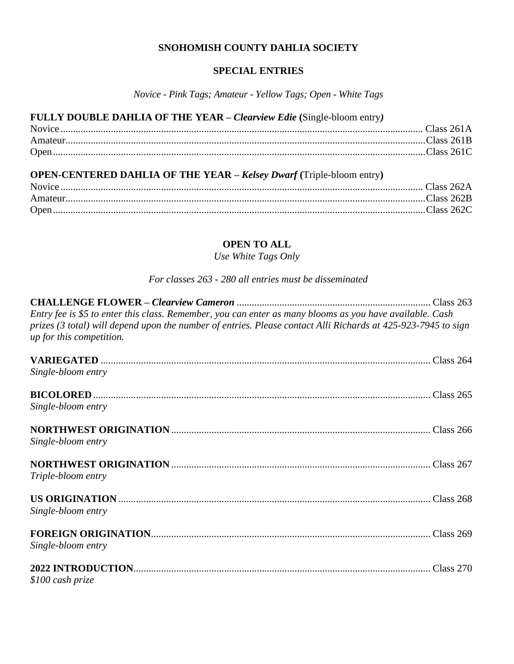#### **SNOHOMISH COUNTY DAHLIA SOCIETY**

# **SPECIAL ENTRIES**

*Novice - Pink Tags; Amateur - Yellow Tags; Open - White Tags*

| FULLY DOUBLE DAHLIA OF THE YEAR – Clearview Edie (Single-bloom entry) |  |
|-----------------------------------------------------------------------|--|
|                                                                       |  |
|                                                                       |  |
|                                                                       |  |
|                                                                       |  |

# **OPEN-CENTERED DAHLIA OF THE YEAR –** *Kelsey Dwarf* **(**Triple-bloom entry**)**

#### **OPEN TO ALL**

*Use White Tags Only*

# *For classes 263 - 280 all entries must be disseminated*

| Entry fee is \$5 to enter this class. Remember, you can enter as many blooms as you have available. Cash<br>prizes (3 total) will depend upon the number of entries. Please contact Alli Richards at 425-923-7945 to sign<br>up for this competition. |  |
|-------------------------------------------------------------------------------------------------------------------------------------------------------------------------------------------------------------------------------------------------------|--|
| Single-bloom entry                                                                                                                                                                                                                                    |  |
| Single-bloom entry                                                                                                                                                                                                                                    |  |
| Single-bloom entry                                                                                                                                                                                                                                    |  |
| Triple-bloom entry                                                                                                                                                                                                                                    |  |
| Single-bloom entry                                                                                                                                                                                                                                    |  |
| Single-bloom entry                                                                                                                                                                                                                                    |  |
| \$100 cash prize                                                                                                                                                                                                                                      |  |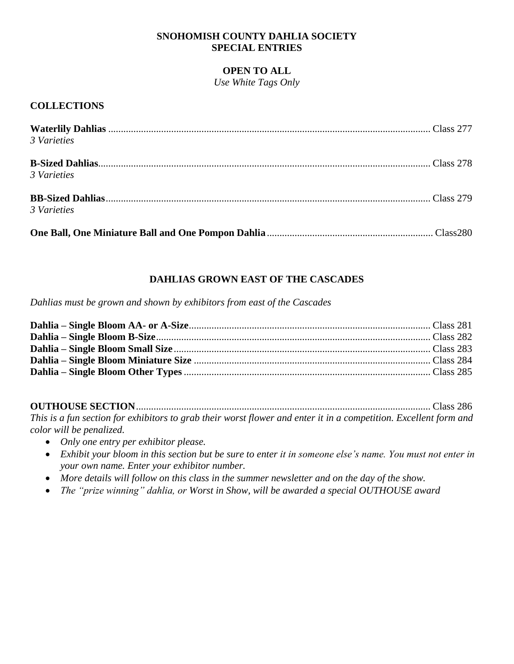### **SNOHOMISH COUNTY DAHLIA SOCIETY SPECIAL ENTRIES**

#### **OPEN TO ALL**

*Use White Tags Only*

## **COLLECTIONS**

| 3 Varieties |  |
|-------------|--|
| 3 Varieties |  |
| 3 Varieties |  |
|             |  |

# **DAHLIAS GROWN EAST OF THE CASCADES**

*Dahlias must be grown and shown by exhibitors from east of the Cascades*

**OUTHOUSE SECTION**..................................................................................................................... Class 286 *This is a fun section for exhibitors to grab their worst flower and enter it in a competition. Excellent form and color will be penalized.*

- *Only one entry per exhibitor please.*
- *Exhibit your bloom in this section but be sure to enter it in someone else's name. You must not enter in your own name. Enter your exhibitor number.*
- *More details will follow on this class in the summer newsletter and on the day of the show.*
- *The "prize winning" dahlia, or Worst in Show, will be awarded a special OUTHOUSE award*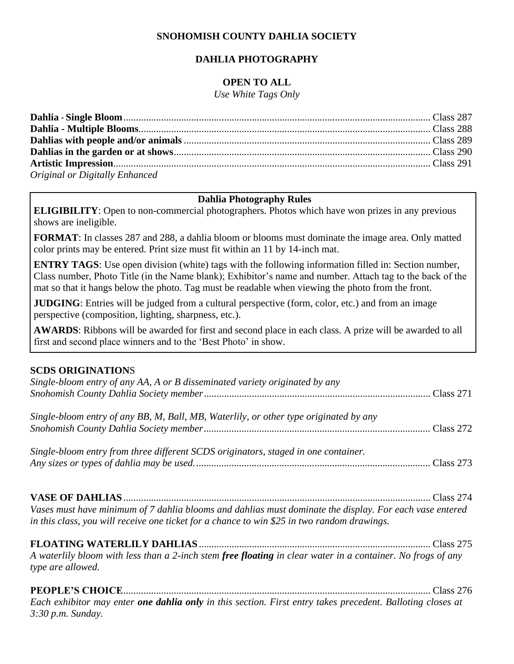# **SNOHOMISH COUNTY DAHLIA SOCIETY**

# **DAHLIA PHOTOGRAPHY**

# **OPEN TO ALL**

*Use White Tags Only*

| Original or Digitally Enhanced |  |
|--------------------------------|--|

## **Dahlia Photography Rules**

**ELIGIBILITY**: Open to non-commercial photographers. Photos which have won prizes in any previous shows are ineligible.

**FORMAT**: In classes 287 and 288, a dahlia bloom or blooms must dominate the image area. Only matted color prints may be entered. Print size must fit within an 11 by 14-inch mat.

**ENTRY TAGS**: Use open division (white) tags with the following information filled in: Section number, Class number, Photo Title (in the Name blank); Exhibitor's name and number. Attach tag to the back of the mat so that it hangs below the photo. Tag must be readable when viewing the photo from the front.

**JUDGING**: Entries will be judged from a cultural perspective (form, color, etc.) and from an image perspective (composition, lighting, sharpness, etc.).

**AWARDS**: Ribbons will be awarded for first and second place in each class. A prize will be awarded to all first and second place winners and to the 'Best Photo' in show.

## **SCDS ORIGINATION**S

| Single-bloom entry of any AA, A or B disseminated variety originated by any                                                                                                                            |  |
|--------------------------------------------------------------------------------------------------------------------------------------------------------------------------------------------------------|--|
| Single-bloom entry of any BB, M, Ball, MB, Waterlily, or other type originated by any                                                                                                                  |  |
| Single-bloom entry from three different SCDS originators, staged in one container.                                                                                                                     |  |
| Vases must have minimum of 7 dahlia blooms and dahlias must dominate the display. For each vase entered<br>in this class, you will receive one ticket for a chance to win \$25 in two random drawings. |  |

**FLOATING WATERLILY DAHLIAS** ............................................................................................ Class 275 *A waterlily bloom with less than a 2-inch stem free floating in clear water in a container. No frogs of any type are allowed.*

**PEOPLE'S CHOICE**.......................................................................................................................... Class 276 *Each exhibitor may enter one dahlia only in this section. First entry takes precedent. Balloting closes at 3:30 p.m. Sunday.*